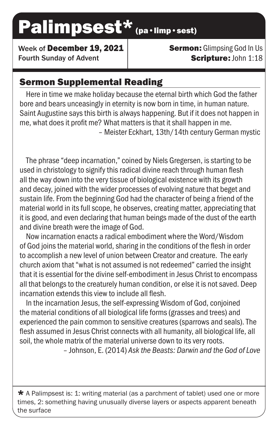## Palimpsest\* (pa·limp·sest)

Week of December 19, 2021 Fourth Sunday of Advent

## **Sermon:** Glimpsing God In Us Scripture: John 1:18

## Sermon Supplemental Reading

Here in time we make holiday because the eternal birth which God the father bore and bears unceasingly in eternity is now born in time, in human nature. Saint Augustine says this birth is always happening. But if it does not happen in me, what does it profit me? What matters is that it shall happen in me. – Meister Eckhart, 13th/14th century German mystic

The phrase "deep incarnation," coined by Niels Gregersen, is starting to be used in christology to signify this radical divine reach through human flesh all the way down into the very tissue of biological existence with its growth and decay, joined with the wider processes of evolving nature that beget and sustain life. From the beginning God had the character of being a friend of the material world in its full scope, he observes, creating matter, appreciating that it is good, and even declaring that human beings made of the dust of the earth and divine breath were the image of God.

Now incarnation enacts a radical embodiment where the Word/Wisdom of God joins the material world, sharing in the conditions of the flesh in order to accomplish a new level of union between Creator and creature. The early church axiom that "what is not assumed is not redeemed" carried the insight that it is essential for the divine self-embodiment in Jesus Christ to encompass all that belongs to the creaturely human condition, or else it is not saved. Deep incarnation extends this view to include all flesh.

In the incarnation Jesus, the self-expressing Wisdom of God, conjoined the material conditions of all biological life forms (grasses and trees) and experienced the pain common to sensitive creatures (sparrows and seals). The flesh assumed in Jesus Christ connects with all humanity, all biological life, all soil, the whole matrix of the material universe down to its very roots.

– Johnson, E. (2014) *Ask the Beasts: Darwin and the God of Love*

 $\star$  A Palimpsest is: 1: writing material (as a parchment of tablet) used one or more times, 2: something having unusually diverse layers or aspects apparent beneath the surface